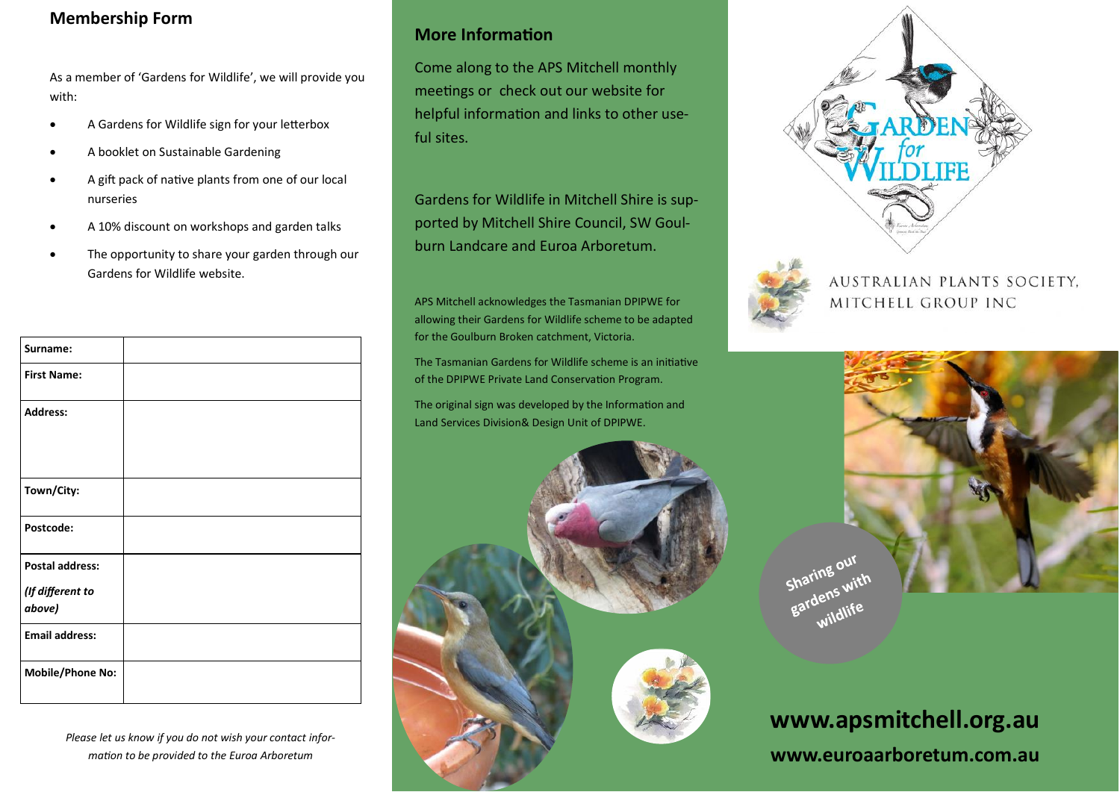## **Membership Form**

As a member of 'Gardens for Wildlife', we will provide you with:

- A Gardens for Wildlife sign for your letterbox
- A booklet on Sustainable Gardening
- A gift pack of native plants from one of our local nurseries
- A 10% discount on workshops and garden talks
- The opportunity to share your garden through our Gardens for Wildlife website.

| Surname:                   |  |
|----------------------------|--|
| <b>First Name:</b>         |  |
| <b>Address:</b>            |  |
| Town/City:                 |  |
| Postcode:                  |  |
| <b>Postal address:</b>     |  |
| (If different to<br>above) |  |
| <b>Email address:</b>      |  |
| <b>Mobile/Phone No:</b>    |  |

*Please let us know if you do not wish your contact information to be provided to the Euroa Arboretum*

### **More Information**

Come along to the APS Mitchell monthly meetings or check out our website for helpful information and links to other useful sites.

Gardens for Wildlife in Mitchell Shire is supported by Mitchell Shire Council, SW Goulburn Landcare and Euroa Arboretum.

APS Mitchell acknowledges the Tasmanian DPIPWE for allowing their Gardens for Wildlife scheme to be adapted for the Goulburn Broken catchment, Victoria.

The Tasmanian Gardens for Wildlife scheme is an initiative of the DPIPWE Private Land Conservation Program.

The original sign was developed by the Information and Land Services Division& Design Unit of DPIPWE.







AUSTRALIAN PLANTS SOCIETY. MITCHELL GROUP INC



# **www.apsmitchell.org.au www.euroaarboretum.com.au**